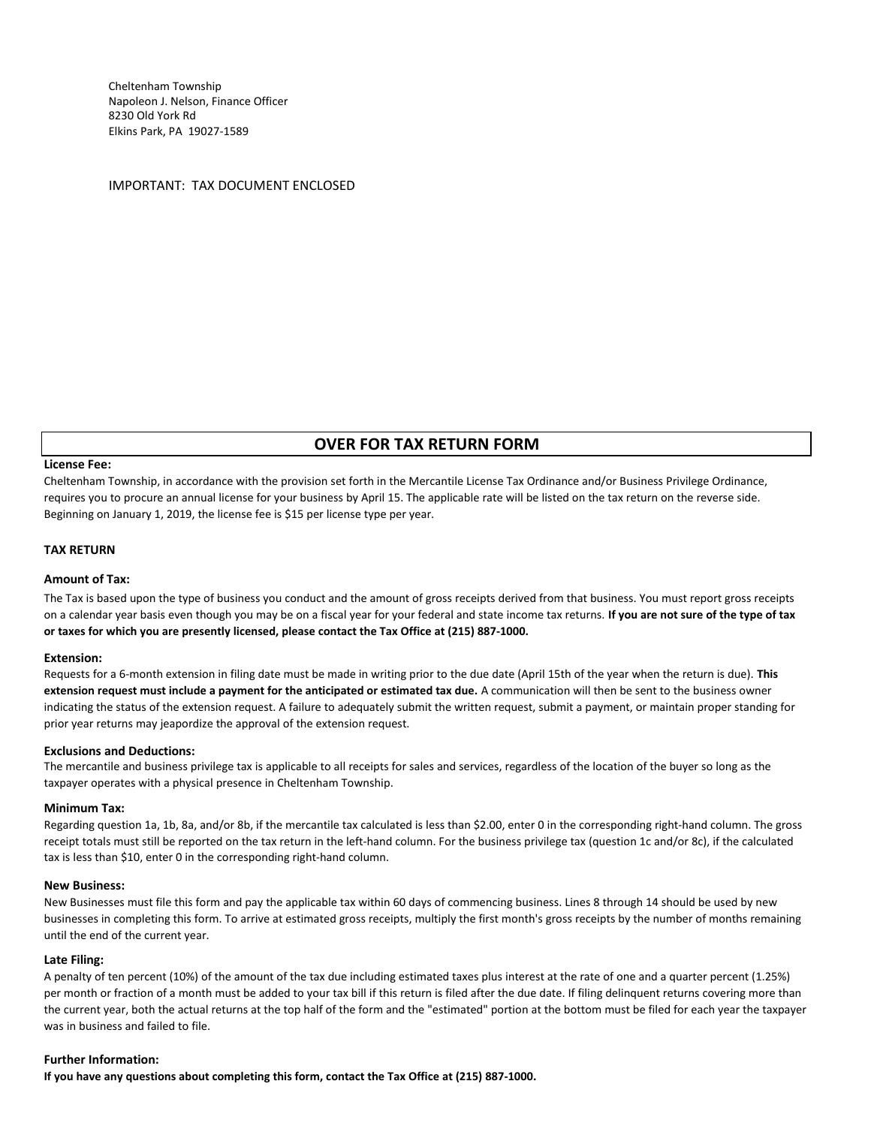Cheltenham Township Napoleon J. Nelson, Finance Officer 8230 Old York Rd Elkins Park, PA 19027-1589

IMPORTANT: TAX DOCUMENT ENCLOSED

# **OVER FOR TAX RETURN FORM**

## **License Fee:**

Cheltenham Township, in accordance with the provision set forth in the Mercantile License Tax Ordinance and/or Business Privilege Ordinance, requires you to procure an annual license for your business by April 15. The applicable rate will be listed on the tax return on the reverse side. Beginning on January 1, 2019, the license fee is \$15 per license type per year.

## **TAX RETURN**

### **Amount of Tax:**

The Tax is based upon the type of business you conduct and the amount of gross receipts derived from that business. You must report gross receipts on a calendar year basis even though you may be on a fiscal year for your federal and state income tax returns. **If you are not sure of the type of tax or taxes for which you are presently licensed, please contact the Tax Office at (215) 887-1000.**

#### **Extension:**

Requests for a 6-month extension in filing date must be made in writing prior to the due date (April 15th of the year when the return is due). **This extension request must include a payment for the anticipated or estimated tax due.** A communication will then be sent to the business owner indicating the status of the extension request. A failure to adequately submit the written request, submit a payment, or maintain proper standing for prior year returns may jeapordize the approval of the extension request.

#### **Exclusions and Deductions:**

The mercantile and business privilege tax is applicable to all receipts for sales and services, regardless of the location of the buyer so long as the taxpayer operates with a physical presence in Cheltenham Township.

#### **Minimum Tax:**

Regarding question 1a, 1b, 8a, and/or 8b, if the mercantile tax calculated is less than \$2.00, enter 0 in the corresponding right-hand column. The gross receipt totals must still be reported on the tax return in the left-hand column. For the business privilege tax (question 1c and/or 8c), if the calculated tax is less than \$10, enter 0 in the corresponding right-hand column.

## **New Business:**

New Businesses must file this form and pay the applicable tax within 60 days of commencing business. Lines 8 through 14 should be used by new businesses in completing this form. To arrive at estimated gross receipts, multiply the first month's gross receipts by the number of months remaining until the end of the current year.

#### **Late Filing:**

A penalty of ten percent (10%) of the amount of the tax due including estimated taxes plus interest at the rate of one and a quarter percent (1.25%) per month or fraction of a month must be added to your tax bill if this return is filed after the due date. If filing delinquent returns covering more than the current year, both the actual returns at the top half of the form and the "estimated" portion at the bottom must be filed for each year the taxpayer was in business and failed to file.

## **Further Information:**

**If you have any questions about completing this form, contact the Tax Office at (215) 887-1000.**